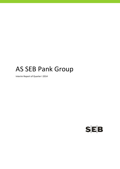# AS SEB Pank Group

Interim Report of Quarter I 2014

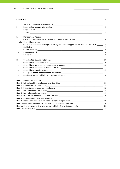## **Contents** P. Statement of the Management Board **Example 2** 2 **I. Introduction ‐ general information\_\_\_\_\_\_\_\_\_\_\_\_\_\_\_\_\_\_\_\_\_\_\_\_\_\_\_\_\_\_\_\_\_\_\_\_\_\_\_\_\_\_\_\_\_\_\_\_\_\_\_\_\_\_\_\_\_** 3 1. Credit institution  $\qquad \qquad \qquad$  3 2. Auditor 2. Auditor 2. Auditor 2. Auditor 2. Auditor 2. Auditor 2. Auditor 2. Auditor 2. Auditor 2. Auditor 2. Auditor 2. Auditor 2. Auditor 2. Auditor 2. Auditor 2. Auditor 2. Auditor 2. Auditor 2. Auditor 2. Auditor 2. **II. Management Report\_\_\_\_\_\_\_\_\_\_\_\_\_\_\_\_\_\_\_\_\_\_\_\_\_\_\_\_\_\_\_\_\_\_\_\_\_\_\_\_\_\_\_\_\_\_\_\_\_\_\_\_\_\_\_\_\_\_\_\_\_\_\_\_\_\_\_\_\_\_** 4 1. Credit institution's group as defined in Credit Institutions Law\_\_\_\_\_\_\_\_\_\_\_\_\_\_\_\_\_\_\_\_\_\_\_\_\_\_\_\_\_\_\_\_ 4 1.1. Consolidated group that the set of the set of the set of the set of the set of the set of the set of the set of the set of the set of the set of the set of the set of the set of the set of the set of the set of the se 1.2. Changes in the consolidated group during the accounting period and plans for year 2014 4 2. Highlights **Example 2. The Second Second Second Second Second Second Second Second Second Second Second Second S** 3. Capital adequacy\_\_\_\_\_\_\_\_\_\_\_\_\_\_\_\_\_\_\_\_\_\_\_\_\_\_\_\_\_\_\_\_\_\_\_\_\_\_\_\_\_\_\_\_\_\_\_\_\_\_\_\_\_\_\_\_\_\_\_\_\_\_\_\_\_\_\_\_\_\_\_\_\_ 6 4. Risk concentration\_\_\_\_\_\_\_\_\_\_\_\_\_\_\_\_\_\_\_\_\_\_\_\_\_\_\_\_\_\_\_\_\_\_\_\_\_\_\_\_\_\_\_\_\_\_\_\_\_\_\_\_\_\_\_\_\_\_\_\_\_\_\_\_\_\_\_\_\_\_\_ 8 5. Key figures\_\_\_\_\_\_\_\_\_\_\_\_\_\_\_\_\_\_\_\_\_\_\_\_\_\_\_\_\_\_\_\_\_\_\_\_\_\_\_\_\_\_\_\_\_\_\_\_\_\_\_\_\_\_\_\_\_\_\_\_\_\_\_\_\_\_\_\_\_\_\_\_\_\_\_\_\_\_\_ 8 **III. Consolidated financial statements\_\_\_\_\_\_\_\_\_\_\_\_\_\_\_\_\_\_\_\_\_\_\_\_\_\_\_\_\_\_\_\_\_\_\_\_\_\_\_\_\_\_\_\_\_\_\_\_\_\_\_\_\_\_\_\_\_\_** 10 1. Consolidated income statement\_\_\_\_\_\_\_\_\_\_\_\_\_\_\_\_\_\_\_\_\_\_\_\_\_\_\_\_\_\_\_\_\_\_\_\_\_\_\_\_\_\_\_\_\_\_\_\_\_\_\_\_\_\_\_\_\_\_\_\_10 2. Consolidated statement of comprehensive income\_\_\_\_\_\_\_\_\_\_\_\_\_\_\_\_\_\_\_\_\_\_\_\_\_\_\_\_\_\_\_\_\_\_\_\_\_\_\_\_\_\_\_ 10 3. Consolidated statement of financial position\_\_\_\_\_\_\_\_\_\_\_\_\_\_\_\_\_\_\_\_\_\_\_\_\_\_\_\_\_\_\_\_\_\_\_\_\_\_\_\_\_\_\_\_\_\_\_\_11 4. Consolidated cash flow statement exception of the statement of the statement of the statement of the statement of the statement of the statement of the statement of the statement of the statement of the statement of the 5. Changes in consolidated shareholders' equity\_\_\_\_\_\_\_\_\_\_\_\_\_\_\_\_\_\_\_\_\_\_\_\_\_\_\_\_\_\_\_\_\_\_\_\_\_\_\_\_\_\_\_\_\_\_\_13 6. Contingent assets and liabilities and commitments\_\_\_\_\_\_\_\_\_\_\_\_\_\_\_\_\_\_\_\_\_\_\_\_\_\_\_\_\_\_\_\_\_\_\_\_\_\_\_\_\_\_ 14 Note 1 Accounting principles \_\_\_\_\_\_\_\_\_\_\_\_\_\_\_\_\_\_\_\_\_\_\_\_\_\_\_\_\_\_\_\_\_\_\_\_\_\_\_\_\_\_\_\_\_\_\_\_\_\_\_\_\_\_\_\_\_\_\_\_\_\_\_\_\_\_\_\_ 15 Note 2 Fair value of financial assets and liabilities\_\_\_\_\_\_\_\_\_\_\_\_\_\_\_\_\_\_\_\_\_\_\_\_\_\_\_\_\_\_\_\_\_\_\_\_\_\_\_\_\_\_\_\_\_\_\_\_ 16 Note 3 Interest and similar income\_\_\_\_\_\_\_\_\_\_\_\_\_\_\_\_\_\_\_\_\_\_\_\_\_\_\_\_\_\_\_\_\_\_\_\_\_\_\_\_\_\_\_\_\_\_\_\_\_\_\_\_\_\_\_\_\_\_\_\_\_\_\_ 18 Note 4 Interest expenses and similar charges\_\_\_\_\_\_\_\_\_\_\_\_\_\_\_\_\_\_\_\_\_\_\_\_\_\_\_\_\_\_\_\_\_\_\_\_\_\_\_\_\_\_\_\_\_\_\_\_\_\_\_\_\_\_ 18 Note 5 Fee and commission income\_\_\_\_\_\_\_\_\_\_\_\_\_\_\_\_\_\_\_\_\_\_\_\_\_\_\_\_\_\_\_\_\_\_\_\_\_\_\_\_\_\_\_\_\_\_\_\_\_\_\_\_\_\_\_\_\_\_\_\_\_\_\_18 Note 6 Fee and commission expense\_\_\_\_\_\_\_\_\_\_\_\_\_\_\_\_\_\_\_\_\_\_\_\_\_\_\_\_\_\_\_\_\_\_\_\_\_\_\_\_\_\_\_\_\_\_\_\_\_\_\_\_\_\_\_\_\_\_\_\_\_\_ 19 Note 7 Impairment losses on loans and advances\_\_\_\_\_\_\_\_\_\_\_\_\_\_\_\_\_\_\_\_\_\_\_\_\_\_\_\_\_\_\_\_\_\_\_\_\_\_\_\_\_\_\_\_\_\_\_\_\_\_ 19 Note 8 Allowances on loans and advances\_\_\_\_\_\_\_\_\_\_\_\_\_\_\_\_\_\_\_\_\_\_\_\_\_\_\_\_\_\_\_\_\_\_\_\_\_\_\_\_\_\_\_\_\_\_\_\_\_\_\_\_\_\_\_\_ 19 Note 9 Loans and advances to customers by remaining maturity\_\_\_\_\_\_\_\_\_\_\_\_\_\_\_\_\_\_\_\_\_\_\_\_\_\_\_\_\_\_\_\_\_\_\_\_\_ 19 Note 10 Geographic concentration of financial assets and liabilities\_\_\_\_\_\_\_\_\_\_\_\_\_\_\_\_\_\_\_\_\_\_\_\_\_\_\_\_\_\_\_\_\_\_20 Note 11 Concentration of financial assets and liabilities by industry sector\_\_\_\_\_\_\_\_\_\_\_\_\_\_\_\_\_\_\_\_\_\_\_\_\_\_\_\_\_\_\_\_\_21 Note 12 Related parties\_\_\_\_\_\_\_\_\_\_\_\_\_\_\_\_\_\_\_\_\_\_\_\_\_\_\_\_\_\_\_\_\_\_\_\_\_\_\_\_\_\_\_\_\_\_\_\_\_\_\_\_\_\_\_\_\_\_\_\_\_\_\_\_\_\_\_\_\_\_\_\_\_\_\_23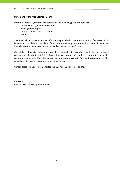#### **Statement of the Management Board**

Interim Report of Quarter I 2014 consists of the following parts and reports: Introduction – general information Management Report Consolidated Financial Statements **Notes** 

The financial and other additional information published in the Interim Report of Quarter I 2014 is true and complete. Consolidated financial statements give a true and fair view of the actual financial position, results of operations and cash flows of the Group.

Consolidated financial statements have been compiled in accordance with the International Accounting Standard IAS 34 "Interim financial reporting" and in conformity with the requirements of Eesti Pank for publishing information. AS SEB Pank and subsidiaries of the consolidated group are assumed to be going concern.

Consolidated financial statements for the Quarter I 2014 are not audited.

Riho Unt Chairman of the Management Board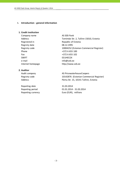#### **I. Introduction ‐ general information**

#### **1. Credit institution**

| Company name      |
|-------------------|
| Address           |
| Registered in     |
| Registry date     |
| Registry code     |
| Phone             |
| Fax               |
| <b>SWIFT</b>      |
| e-mail            |
| Internet homenage |

AS SEB Pank Tornimäe Str. 2, Tallinn 15010, Estonia Republic of Estonia 08.12.1995 10004252 (Estonian Commercial Register) +372 6 655 100  $+372$  6 655 102 EEUHEE2X info@seb.ee ternet homepage http://www.seb.ee

## **2. Auditor**

Reporting date 31.03.2014

Audit company and all the AS PricewaterhouseCoopers Registry code 10142876 (Estonian Commercial Register) Address Pärnu Str. 15, 10141 Tallinn, Estonia

Reporting period 01.01.2014 ‐ 31.03.2014 Reporting currency **EUR** Euro (EUR), millions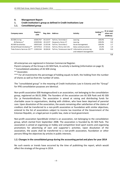#### **II. Management Report**

### **1. Credit institution's group as defined in Credit Institutions Law**

#### **1.1. Consolidated group**

| Company name                            | <b>Registry</b><br>code | Reg. date | <b>Address</b>                                   | Activity               | Holding***<br>(%) | At an acqui-<br>sition cost<br>(EURmio) |
|-----------------------------------------|-------------------------|-----------|--------------------------------------------------|------------------------|-------------------|-----------------------------------------|
| AS SEB Liising                          | 10281767                | 03.10.97  | Tallinn, Tornimäe 2                              | Leasing                | 100.0%            | 1.8                                     |
| AS Rentacar*                            | 10303546                | 20.10.97  | Haapsalu, Karja 27                               | Leasing                | 100.0%            | 0.0                                     |
| AS SEB Varahaldus                       | 10035169                | 22.05.96  | Tallinn, Tornimäe 2                              | Asset management       | 100.0%            | 2.7                                     |
| AS Sertifits eerimiskes kus **          | 10747013                | 27.03.01  | Tallinn, Pärnu mnt 141                           | Data communication     | 25.0%             | 1.0                                     |
| Tieto Estonia Services OÜ <sup>**</sup> | 11065244                | 30.08.04  | Tallinn, Tammsaare tee 47 Information processing | and network management | 20.0%             | 0.0                                     |

**5.5**

All enterprises are registered in Estonian Commercial Register.

Parent company of the Group is AS SEB Pank, its activity is banking (information on page 3).

- \* Consolidated subsidiary of AS SEB Liising
- \*\* Associates

\*\*\* For all investments the percentage of holding equals to both, the holding from the number of shares as well as from the number of votes.

The "consolidated group" in the meaning of Credit Institutions Law in Estonia and the "Group" for IFRS consolidation purposes are identical.

Non‐profit association SEB Heategevusfond is an association, not belonging to the consolidation group, registered on 06.01.2006. The founders of the association are AS SEB Pank and AS SEB Elu‐ ja Pensionikindlustus. The association is aimed at raising and distributing funds for charitable cause to organisations, dealing with children, who have been deprived of parental care. Upon dissolution of the association, the assets remaining after satisfaction of the claims of creditors shall be transferred to a non‐profit association or foundation with similar objectives, entered to the list of associations subject to income tax incentive of the Government of the Estonian Republic, or a legal person in public law, state or local government.

Non‐profit association Spordiklubi United is an association, not belonging to the consolidation group, which started from September 2008. The association is founded by AS SEB Pank. The association is aimed at organising on hobby and competition level sport events and organising promotions for advertising of own and supporter´s activities. Upon dissolution of the association, the assets shall be transferred to a non‐profit association, foundation or other persons filling the objectives by articles in public interests.

#### **1.2. Changes in the consolidated group during the accounting period and plans for year 2014**

No such events or trends have occurred by the time of publishing the report, which would affect the strategy of the group in 2014.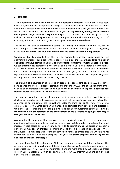## **2. Highlights**

At the beginning of the year, business activity decreased compared to the end of last year, which is typical for the first quarter. Although customer activity increased in March, the direct and indirect effects of the cool-down of the Russian economy have not yet had an impact on the Estonian economy. **This year may be a year of adjustments, during which sectorial developments might differ to a significant degree.** The transportation and storage sectors as well as construction and agriculture remain under pressure. Retail trade, the driving sector of economy, is likely to continue its growth but its prospects have also weakened.

The financial position of enterprises is strong – according to a recent survey by SEB, 88% of large enterprises considered their financial situation to be good or very good at the beginning of the year. **Enterprises are thus well prepared for the potential economic adjustment.**

Companies directly dependent on the Russian market have already taken steps to find alternative markets or suppliers for their goods. **It is a pleasure to see that a large number of entrepreneurs have started to actively address efforts to improve competitiveness**. This year, we can therefore expect targeted investments and more active implementation of innovations across the economy. Availability of credit is currently not a problem – this was also confirmed by a survey among CFOs at the beginning of the year, according to which 71% of representatives of Estonian companies found that the banks' attitude towards providing loans to companies has been either positive or very positive.

**The triumph of innovation in business is an area of desired contribution to SEB**. In order to bring science and business closer together, SEB founded the **VEGA Fund** at the beginning of the year. To bring entrepreneurs closer to innovation, the bank conducted a special **Innovation Lab training course** for aspiring small businesses in March.

The eurozone countries switched to an integrated payment system in February. This was a challenge of sorts for the entrepreneurs and the banks of the countries in question in how they can manage to implement the innovations. Estonia's transition to the new system was extremely successful. Large companies managed to complete their development projects in time and their clients are now using e‐invoice solutions for automatic payments. **Estonia managed to be in the forefront of the development of the e‐invoice, skipping several stages still lying ahead for Old Europe.**

As a result of the wage growth of last year, private individuals have started to consume more and this is reflected not only in retail but also in real estate market indicators. The rapid increase in real estate prices may slow down in SEBs estimation, as the period of economic adjustment may see an increase in unemployment and a decrease in confidence. Private individuals are not as prepared for the economic adjustment as enterprises are, which is why it is important to maintain financial discipline. **This year, SEB places emphasis on advising clients and sharing financial knowledge.**

The more than 877 200 customers of SEB Pank Group are served by 1085 employees. The customers are served through many different channels such as 28 branch offices, 255 on‐line post offices, 257 ATMs, 8214 POS‐terminals. There are more than 536 300 debit and credit cards in use. In addition, 77% of our customers use our SEB Internet Bank and SEB Internet Bank for Business services.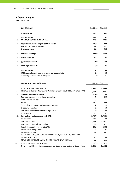## **3. Capital adequacy**

|                        | <b>CAPITAL BASE</b>                                                                                                    | 31.03.14              | 31.12.13              |
|------------------------|------------------------------------------------------------------------------------------------------------------------|-----------------------|-----------------------|
|                        | <b>OWN FUNDS</b>                                                                                                       | 776.7                 | 780.2                 |
| 1 <sub>1</sub><br>1.1. | <b>TIER 1 CAPITAL</b><br><b>COMMON EQUITY TIER 1 CAPITAL</b>                                                           | 773.2<br>773.2        | 774.2<br>774.2        |
|                        | 1.1.1. Capital instruments eligible as CET1 Capital<br>Paid up capital instruments<br>Share premium                    | 128.8<br>42.5<br>86.3 | 128.8<br>42.5<br>86.3 |
|                        | 1.1.2. Retained earnings                                                                                               | 626.0                 | 627.0                 |
|                        | 1.1.3. Other reserves                                                                                                  | 19.4                  | 19.4                  |
|                        | 1.1.4. (-) Intangible assets                                                                                           | $-1.0$                | $-0.9$                |
|                        | 1.1.5. CET1 capital deductions                                                                                         | 0.0                   | $-0.1$                |
| 2.5                    | <b>TIER 2 CAPITAL</b><br>IRB Excess of provisions over expected losses eligible<br>Other adjustments to Tier 2 Capital | 3.5<br>3.5<br>0.0     | 6.0<br>5.8<br>0.2     |
|                        | <b>RISK WEIGHTED ASSETS (RWA)</b>                                                                                      | 31.03.14              | 31.12.13              |

|      | TOTAL RISK EXPOSURE AMOUNT                                                    | 3,344.5 | 3,303.0 |
|------|-------------------------------------------------------------------------------|---------|---------|
| 1.   | RISK WEIGHTED EXPOSURE AMOUNTS FOR CREDIT, COUNTERPARTY CREDIT AND            | 1,961.7 | 2,028.2 |
| 1.1. | Standardised approach (SA)                                                    | 207.0   | 273.6   |
|      | Regional governments or local authorities                                     | 0.0     | 62.5    |
|      | Public sector entities                                                        | 0.8     | 1.7     |
|      | Retail                                                                        | 170.1   | 169.6   |
|      | Secured by mortgages on immovable property                                    | 1.1     | 1.2     |
|      | Exposures in default                                                          | 3.5     | 5.0     |
|      | Collective investments undertakings (CIU)                                     | 4.6     | 4.5     |
|      | Other items                                                                   | 26.9    | 29.1    |
| 1.2. | Internal ratings based Approach (IRB)                                         | 1,754.7 | 1,754.6 |
|      | Institutions                                                                  | 144.5   | 60.0    |
|      | Corporates - SME                                                              | 1,193.8 | 1,261.2 |
|      | Corporates - Specialised Lending                                              | 82.6    | 87.3    |
|      | Retail - Secured by real estate SME                                           | 248.6   | 240.5   |
|      | Retail - Qualifying revolving                                                 | 2.2     | 2.3     |
|      | Retail - Other SME                                                            | 82.9    | 103.3   |
| 2.   | TOTAL RISK EXPOSURE AMOUNT FOR POSITION, FOREIGN EXCHANGE AND                 |         |         |
|      | <b>COMMODITIES RISKS</b>                                                      | 10.9    | 15.6    |
| 3.   | TOTAL RISK EXPOSURE AMOUNT FOR OPERATIONAL RISK (AMA)                         | 81.3    | 97.0    |
| 4.   | OTHER RISK EXPOSURE AMOUNTS                                                   | 1,290.6 | 1,162.2 |
|      | Of which: Additional risk exposure amount due to application of Basel I floor | 1,290.6 | 1,162.2 |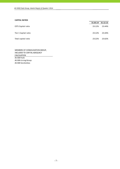#### **CAPITAL RATIOS**

|                      | 31.03.14 | 31.12.13 |
|----------------------|----------|----------|
| CET1 Capital ratio   | 23.12%   | 23.44%   |
| Tier 1 Capital ratio | 23.12%   | 23.44%   |
| Total capital ratio  | 23.22%   | 23.62%   |

AS SEB Pank AS SEB Liising Group AS SEB Varahaldus MEMBERS OF CONSOLIDATION GROUP, INCLUDED TO CAPITAL ADEQUACY **CALCULATION**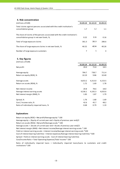#### **4. Risk concentration**

| (millions of EUR)                                                                                                       | 31.03.14 | 31.12.13 | 31.03.13 |
|-------------------------------------------------------------------------------------------------------------------------|----------|----------|----------|
| Total claims against persons associated with the credit institution's<br>consolidation group                            | 1.7      | 1.2      | 1.1      |
| The share of claims of the persons associated with the credit institution's<br>consolidation group in net own funds, %, | 0.22     | 0.16     | 0.16     |
| Total of large exposure claims                                                                                          | 361.3    | 381.9    | 286.6    |
| The share of large exposure claims in net own funds, %                                                                  | 46.52    | 48.94    | 40.26    |
| Number of large exposure customers                                                                                      |          | 5        | 4        |

#### **5. Key figures**

| (millions of EUR)                       |          |          |          |
|-----------------------------------------|----------|----------|----------|
|                                         | 31.03.14 | 31.12.13 | 31.03.13 |
| Net profit                              | 20.0     | 72.8     | 18.5     |
| Average equity                          | 784.7    | 738.7    | 711.4    |
| Return on equity (ROE), %               | 10.19    | 9.86     | 10.40    |
| Average assets                          | 4,653.2  | 4,313.0  | 4,153.5  |
| Return on assets (ROA), %               | 1.72     | 1.69     | 1.78     |
| Net interest income                     | 20.8     | 78.6     | 18.0     |
| Average interest earning assets         | 4,536.1  | 4,192.3  | 4,033.6  |
| Net interest margin (NIM), %            | 1.83     | 1.87     | 1.79     |
| Spread, %                               | 1.76     | 1.80     | 1.69     |
| Cost / Income ratio, %                  | 42.6     | 45.7     | 48.2     |
| Ratio of individually impaired loans, % | 0.68     | 0.79     | 1.19     |

#### **Explanations**

Return on equity (ROE) = Net profit/Average equity \* 100 Average equity = (Equity of current year end + Equity of previous year end)/2 Return on assets (ROA) = Net profit/Average assets \* 100 Average assets = (Assets of current year end + Assets of previous year end)/2 Cost of interest bearing liabilities = Interest expenses/Average interest bearing liabilities \*100 Cost/Income Ratio = Total Operating Expenses/Total Income \* 100 Spread = Yield on interest earning assets ‐ Cost of interest bearing liabilities Net interest margin (NIM) = Net interest income/Average interest earning assets \* 100 Yield on interest earning assets = Interest income/Average interest earning assets \*100

Ratio of individually impaired loans = Individually impaired loans/Loans to customers and credit institutions\* 100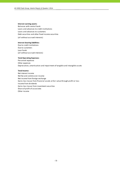#### **Interest earning assets:**

Balances with central bank Loans and advances to credit institutions Loans and advances to customers Debt securities and other fixed income securities

(all without accrued interests)

#### **Interest bearing liabilities:**

Due to credit institutions Due to customers Loan funds (all without accrued interests)

#### **Total Operating Expenses:**

Personnel expenses Other expenses Depreciation, amortisation and impairment of tangible and intangible assets

#### **Total Income:**

Net interest income Net fee and commission income Net income from foreign exchange Gains less losses from financial assets at fair value through profit or loss Income from dividends Gains less losses from investment securities Share of profit of associates Other income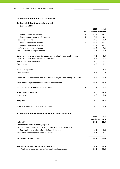#### **III. Consolidated financial statements**

## **1. Consolidated income statement**

(millions of EUR)

|                                                                              |   | 2014                   | 2013   |
|------------------------------------------------------------------------------|---|------------------------|--------|
|                                                                              |   | Note 3 months 3 months |        |
| Interest and similar income                                                  | 3 | 24.6                   | 22.3   |
| Interest expenses and similar charges                                        | 4 | $-3.8$                 | $-4.3$ |
| Net Interest Income                                                          |   | 20.8                   | 18.0   |
| Fee and commission income                                                    | 5 | 13.8                   | 12.7   |
| Fee and commission expense                                                   | 6 | $-3.6$                 | $-3.5$ |
| Net fee and commission income                                                |   | 10.2                   | 9.2    |
| Net income from foreign exchange                                             |   | 1.1                    | 0.9    |
| Gains less losses from financial assets at fair value through profit or loss |   | $-0.1$                 | 0.3    |
| Gains less losses from investment securities                                 |   | $-0.5$                 | 0.6    |
| Share of profit of associates                                                |   | 0.0                    | 0.1    |
| Other income                                                                 |   | 0.2                    | 0.2    |
| Personnel expenses                                                           |   | $-8.0$                 | $-8.2$ |
| Other expenses                                                               |   | $-4.7$                 | $-5.0$ |
| Depreciation, amortisation and impairment of tangible and intangible assets  |   | $-0.8$                 | $-0.9$ |
| Profit before impairment losses on loans and advances                        |   | 18.2                   | 15.2   |
| Impairment losses on loans and advances                                      | 7 | 1.8                    | 3.3    |
| Profit before income tax                                                     |   | 20.0                   | 18.5   |
| Income tax                                                                   |   | 0.0                    | 0.0    |
| Net profit                                                                   |   | 20.0                   | 18.5   |
| Profit attributable to the sole equity holder                                |   | 20.0                   | 18.5   |

## **2. Consolidated statement of comprehensive income**

|                                                                      | 2014              | 2013   |
|----------------------------------------------------------------------|-------------------|--------|
|                                                                      | 3 months 3 months |        |
| Net profit                                                           | 20.0              | 18.5   |
| Other comprehensive income/expense                                   |                   |        |
| Items that may subsequently be reclassified to the income statement: |                   |        |
| Revaluation of available-for-sale financial assets                   | 0.1               | $-0.5$ |
| Total other comprehensive income/expense                             | 0.1               | $-0.5$ |
| Total comprehensive income                                           | 20.1              | 18.0   |
| Sole equity holder of the parent entity (total)                      | 20.1              | 18.0   |
| -Total comprehensive income from continued operations                | 20.1              | 18.0   |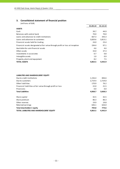## **3. Consolidated statement of financial position**

|                                                                               | 31.03.14 | 31.12.13 |
|-------------------------------------------------------------------------------|----------|----------|
| <b>ASSETS</b>                                                                 |          |          |
| Cash                                                                          | 39.7     | 44.9     |
| Balances with central bank                                                    | 70.0     | 70.0     |
| Loans and advances to credit institutions                                     | 667.3    | 343.3    |
| Loans and advances to customers                                               | 3,820.6  | 3,813.1  |
| Financial assets held for trading                                             | 24.0     | 23.4     |
| Financial assets designated at fair value through profit or loss at inception | 194.4    | 97.1     |
| Available-for-sale financial assets                                           | 4.6      | 4.6      |
| Other assets                                                                  | 33.0     | 37.3     |
| Investments in associates                                                     | 0.7      | 0.8      |
| Intangible assets                                                             | 1.0      | 0.9      |
| Property, plant and equipment                                                 | 8.2      | 7.5      |
| <b>TOTAL ASSETS</b>                                                           | 4,863.5  | 4.442.9  |

| <b>LIABILITIES AND SHAREHOLDERS' EQUITY</b>                |         |         |
|------------------------------------------------------------|---------|---------|
| Due to credit institutions                                 | 1,156.4 | 846.6   |
| Due to customers                                           | 2,719.4 | 2,724.0 |
| Other liabilities                                          | 170.9   | 76.2    |
| Financial liabilities at fair value through profit or loss | 22.0    | 21.5    |
| Provisions                                                 | 0.0     | 0.0     |
| <b>Total Liabilities</b>                                   | 4,068.7 | 3,668.3 |
| Share capital                                              | 42.5    | 42.5    |
| Share premium                                              | 86.3    | 86.3    |
| Other reserves                                             | 19.9    | 19.8    |
| Retained earnings                                          | 646.1   | 626.0   |
| Total shareholders' equity                                 | 794.8   | 774.6   |
| <b>TOTAL LIABILITIES AND SHAREHOLDERS' EQUITY</b>          | 4.863.5 | 4.442.9 |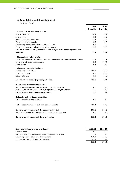## **4. Consolidated cash flow statement**

|                                                                                 | 2014     | 2013     |
|---------------------------------------------------------------------------------|----------|----------|
|                                                                                 | 3 months | 3 months |
| I. Cash flows from operating activities                                         |          |          |
| Interest received                                                               | 24.2     | 21.9     |
| Interest paid                                                                   | $-3.2$   | $-4.5$   |
| Fee and commission received                                                     | 13.7     | 12.7     |
| Fee and commission paid                                                         | $-3.6$   | $-3.5$   |
| Net trading income and other operating income                                   | 0.6      | 1.2      |
| Personnel expenses and other operating expenses                                 | $-12.3$  | $-13.6$  |
| Cash flows from operating activities before changes in the operating assets and |          |          |
| <b>liabilities</b>                                                              | 19.4     | 14.2     |
| Changes in operating assets:                                                    |          |          |
| Loans and advances to credit institutions and mandatory reserve in central bank | $-1.6$   | 216.8    |
| Loans and advances to customers                                                 | $-5.6$   | $-67.2$  |
| Other assets                                                                    | 0.8      | 0.7      |
| <b>Changes of operating liabilities:</b>                                        |          |          |
| Due to credit institutions                                                      | 406.3    | $-51.6$  |
| Due to customers                                                                | $-4.6$   | $-21.6$  |
| Other liabilities                                                               | $-1.9$   | $-2.9$   |
| Cash flow from (used in) operating activities                                   | 412.8    | 88.4     |
| II. Cash flows from investing activities                                        |          |          |
| Net increase-/decrease+ of investment portfolio securities                      | 0.0      | 0.8      |
| Purchase of investment properties, tangible and intangible assets               | $-1.6$   | $-0.7$   |
| Cash flow from (used in) investing activities                                   | $-1.6$   | 0.1      |
| III. Cash flows from financing activities                                       |          |          |
| Cash used in financing activities                                               | 0.0      | 0.0      |
| Net decrease/increase in cash and cash equivalents                              | 411.2    | 88.5     |
| Cash and cash equivalents at the beginning of period                            | 501.6    | 284.3    |
| Effect of exchange rate changes on cash and cash equivalents                    | 0.0      | 0.0      |
| Cash and cash equivalents at the end of period                                  | 912.8    | 372.8    |

| Cash and cash equivalents includes:                      | 31.03.14 | 31.03.13 |
|----------------------------------------------------------|----------|----------|
| Cash on hand                                             | 39.6     | 43.7     |
| Balances with the central bank without mandatory reserve | 37.1     | 0.0      |
| Liquid deposits in other credit institutions             | 638.2    | 329.0    |
| Trading portfolio and liquidity securities               | 197.9    | 0.1      |
|                                                          | 912.8    | 372.8    |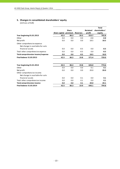# **5. Changes in consolidated shareholders' equity**

|                                    |               |              |                 |          | <b>Total</b>  |
|------------------------------------|---------------|--------------|-----------------|----------|---------------|
|                                    |               | <b>Share</b> |                 | Retained | shareholders' |
|                                    | Share capital | premium      | <b>Reserves</b> | profit   | equity        |
| Year beginning 01.01.2013          | 42.5          | 86.3         | 20.3            | 553.7    | 702.8         |
| Other                              | 0.0           | 0.0          | 0.0             | $-0.8$   | $-0.8$        |
| Net profit                         | 0.0           | 0.0          | 0.0             | 18.5     | 18.5          |
| Other comprehensive expense:       |               |              |                 |          |               |
| Net change in available-for-sale   |               |              |                 |          |               |
| financial assets                   | 0.0           | 0.0          | $-0.5$          | 0.0      | -0.5          |
| Total other comprehensive expense  | 0.0           | 0.0          | $-0.5$          | 0.0      | $-0.5$        |
| Total comprehensive income/expense | 0.0           | 0.0          | $-0.5$          | 18.5     | 18.0          |
| <b>Final balance 31.03.2013</b>    | 42.5          | 86.3         | 19.8            | 571.4    | 720.0         |
|                                    |               |              |                 |          |               |
| Year beginning 01.01.2014          | 42.5          | 86.3         | 19.8            | 626.0    | 774.6         |
| Other                              | 0.0           | 0.0          | 0.0             | 0.1      | 0.1           |
| Net profit                         | 0.0           | 0.0          | 0.0             | 20.0     | 20.0          |
| Other comprehensive income:        |               |              |                 |          |               |
| Net change in available-for-sale   |               |              |                 |          |               |
| financial assets                   | 0.0           | 0.0          | 0.1             | 0.0      | 0.1           |
| Total other comprehensive income   | 0.0           | 0.0          | 0.1             | 0.0      | 0.1           |
| <b>Total comprehensive income</b>  | 0.0           | 0.0          | 0.1             | 20.0     | 20.1          |
| <b>Final balance 31.03.2014</b>    | 42.5          | 86.3         | 19.9            | 646.1    | 794.8         |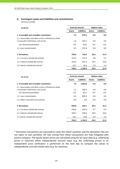# **6. Contingent assets and liabilities and commitments**

(millions of EUR)

| 31.03.14                                                                                   | <b>Contract amount</b> |                    | <b>Balance value</b> |                    |
|--------------------------------------------------------------------------------------------|------------------------|--------------------|----------------------|--------------------|
|                                                                                            | <b>Assets</b>          | <b>Liabilities</b> | <b>Assets</b>        | <b>Liabilities</b> |
| 1. Irrevocable and revocable transactions                                                  | 7.9                    | 979.5              | 0.0                  | 0.0                |
| 1.1. Guarantees and other similar off-balance sheet<br>irrovocable liabilitieas and claims | 1.4                    | 243.7              | 0.0                  | 0.0                |
| incl. financial quarantees                                                                 | 0.0                    | 63.8               | 0.0                  | 0.0                |
| 1.2. Loan commitments                                                                      | 6.5                    | 735.8              | 0.0                  | 0.0                |
| 2. Derivatives                                                                             | 730.6                  | 730.0              | 20.5                 | 21.9               |
| 2.1. Currency related derivatives                                                          | 276.3                  | 276.3              | 0.8                  | 0.7                |
| 2.2. Interest related derivatives                                                          | 435.6                  | 435.3              | 18.7                 | 19.8               |
| 2.3. Equity related derivatives*                                                           | 18.7                   | 18.4               | 1.0                  | 1.4                |
|                                                                                            | 738.5                  | 1,709.5            | 20.5                 | 21.9               |

| 31.12.13                                                                                                                 | <b>Contract amount</b> |                    | <b>Balance value</b> |                    |
|--------------------------------------------------------------------------------------------------------------------------|------------------------|--------------------|----------------------|--------------------|
|                                                                                                                          | <b>Assets</b>          | <b>Liabilities</b> | <b>Assets</b>        | <b>Liabilities</b> |
| 1. Irrevocable and revocable transactions                                                                                | 7.6                    | 1,069.8            | 0.0                  | 0.0                |
| 1.1. Guarantees and other similar off-balance sheet<br>irrovocable liabilitieas and claims<br>incl. financial quarantees | 1.1<br>0.0             | 260.4<br>65.3      | 0.0<br>0.0           | 0.0<br>0.0         |
| 1.2. Loan commitments                                                                                                    | 6.5                    | 809.4              | 0.0                  | 0.0                |
| 1.3. Other revocable transactions                                                                                        | 0.0                    | 0.0                | 0.0                  | 0.0                |
| 2. Derivatives                                                                                                           | 694.8                  | 694.1              | 20.5                 | 21.5               |
| 2.1. Currency related derivatives                                                                                        | 236.6                  | 236.4              | 0.7                  | 0.5                |
| 2.2. Interest related derivatives                                                                                        | 439.1                  | 438.9              | 18.9                 | 19.6               |
| 2.3. Equity related derivatives*                                                                                         | 19.1                   | 18.8               | 0.9                  | 1.4                |
|                                                                                                                          | 702.4                  | 1,763.9            | 20.5                 | 21.5               |

\* Derivative transactions are executed to cover the client's position and the derivative risks are not taken to own portfolio. All risks arising from these transactions are fully mitigated with parent company. The equity option prices are calculated using for all input data (e.g. underlying prices or volumes) either independently sourced input (e.g. the underlying prices) or an independent price verification is performed on the next day to compare the values to independently sourced market data (e.g. for volumes).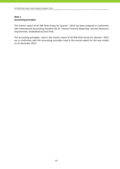## **Note 1 Accounting principles**

The interim report of AS SEB Pank Group for Quarter I 2014 has been prepared in conformity with International Accounting Standard IAS 34 "Interim Financial Reporting" and the disclosure requirements, established by Eesti Pank.

The accounting principles, used in the interim report of AS SEB Pank Group for Quarter I 2014 are in conformity with the accounting principles used in the annual report for the year ended on 31 December 2013.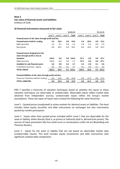## **Fair value of financial assets and liabilities**

(millions of EUR)

#### **A) Financial instruments measured at fair value**

|                                                             | 31.03.14 |         |         |       |         | 31.12.13 |         |             |
|-------------------------------------------------------------|----------|---------|---------|-------|---------|----------|---------|-------------|
|                                                             | Level 1  | Level 2 | Level 3 | Total | Level 1 | Level 2  | Level 3 | Total       |
| Financial assets at fair value through profit and loss      |          |         |         |       |         |          |         |             |
| Financial assets held for trading                           | 3.4      | 20.6    | 0.0     | 24.0  | 2.9     | 20.6     | 0.0     | 23.5        |
| Debt securities                                             | 3.4      | 0.1     | 0.0     | 3.5   | 2.8     | 0.1      | 0.0     | 2.9         |
| Derivatives                                                 | 0.0      | 20.5    | 0.0     | 20.5  | 0.0     | 20.5     | 0.0     | 20.5        |
| Financial assets designated at fair                         |          |         |         |       |         |          |         |             |
| value through profit or loss at                             |          |         |         |       |         |          |         |             |
| inception                                                   | 194.4    | 0.0     | 0.0     | 194.4 | 97.1    | 0.0      | 0.0     | 97.1        |
| Debt securities                                             | 194.4    | 0.0     | 0.0     | 4.7   | 97.1    | 0.0      | 0.0     | 97.1        |
| Available for sale financial assets                         | 4.6      | 0.0     | 0.1     | 4.7   | 4.5     | 0.0      | 0.1     | 4.6         |
| Investment securities - equity                              | 4.6      | 0.0     | 0.1     | 4.7   | 4.5     | 0.0      | 0.1     | 4.6         |
| <b>TOTAL ASSETS</b>                                         | 202.4    | 20.6    | 0.1     | 223.1 | 104.5   | 20.6     |         | $0.1$ 125.2 |
| Financial liabilities at fair value through profit and loss |          |         |         |       |         |          |         |             |
| Financial liabilities held for trading                      | 0.0      | 22.0    | 0.0     | 22.0  | 0.0     | 21.5     | 0.0     | 21.5        |
| <b>TOTAL LIABILITIES</b>                                    | 0.0      | 22.0    | 0.0     | 22.0  | 0.0     | 21.5     | 0.0     | 21.5        |

IFRS 7 specifies a hierarchy of valuation techniques based on whether the inputs to those valuation techniques are observable or unobservable. Observable inputs reflect market data obtained from independent sources; unobservable inputs reflect the Group's market assumptions. These two types of inputs have created the following fair value hierarchy:

Level 1 ‐ Quoted prices (unadjusted) in active markets for identical assets or liabilities. This level includes listed equity securities and debt instruments on exchanges but also instruments quoted by market participants.

Level 2 - Inputs other than quoted prices included within Level 1 that are observable for the asset or liability, either directly (that is, as prices) or indirectly (that is, derived from prices). The sources of input parameters like Euro yield curve or counterparty credit risk are Bloomberg and Thomson Reuters.

Level 3 - Inputs for the asset or liability that are not based on observable market data (unobservable inputs). This level includes equity investments and debt instruments with significant unobservable components.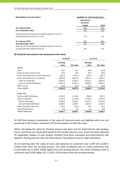| <b>Reconciliation of Level 3 Items</b>                     | Available-for-sale financial assets |       |
|------------------------------------------------------------|-------------------------------------|-------|
|                                                            | Investment<br>securities -          |       |
|                                                            | equity                              | Total |
| At 1 January 2013                                          | 0.1                                 | 0.1   |
| At 31 December 2013                                        | 0.1                                 | 0.1   |
| Total losses for the period included in profit or loss for |                                     |       |
| assets/liabilities held at 31.12.13                        | 0.0                                 | 0.0   |
| At 1 January 2014                                          | 0.1                                 | 0.1   |
| At 30 December 2014                                        | 0.1                                 | 0.1   |
| Total losses for the period included in profit or loss for |                                     |       |
| assets/liabilities held at 31.03.14                        | 0.0                                 | 0.0   |

#### **B) Financial instruments not measured at fair value**

|                                          | 31.03.14 |            | 31.12.13        |            |
|------------------------------------------|----------|------------|-----------------|------------|
|                                          | Carrying |            | <b>Carrying</b> |            |
|                                          | value    | Fair value | value           | Fair value |
| <b>ASSETS</b>                            |          |            |                 |            |
| Cash                                     | 39.7     | 39.7       | 44.9            | 44.9       |
| Balances with central bank               | 70.0     | 70.0       | 70.0            | 70.0       |
| Loans and advances to credit institutior | 667.3    | 667.3      | 343.3           | 343.3      |
| Loans and advances to customers          | 3,820.6  | 3,657.0    | 3,813.1         | 3,625.1    |
| Loans to Corporates                      | 1,959.2  | 1,951.9    | 2,013.1         | 2,001.8    |
| Loans to Private individuals             | 1,861.4  | 1,705.1    | 1,800.0         | 1,623.2    |
| Other assets                             | 33.0     | 33.0       | 37.3            | 37.3       |
| <b>TOTAL ASSETS</b>                      | 4,630.6  | 4,467.0    | 4,308.6         | 4,120.6    |
| <b>LIABILITIES</b>                       |          |            |                 |            |
| Due to credit institutions               | 1,156.4  | 1,154.0    | 846.6           | 847.1      |
| Due to customers                         | 2,719.4  | 2,719.8    | 2,724.0         | 2,723.4    |
| Due to Corporates                        | 1,438.8  | 1,439.2    | 1,542.5         | 1,541.8    |
| Due to Private Individuals               | 1,280.6  | 1,280.6    | 1,181.5         | 1,181.6    |
| Other financial liabilities              | 170.9    | 170.9      | 76.2            | 76.2       |
| Subordinated loans                       | 0.0      | 0.0        | 0.0             | 0.0        |
| <b>TOTAL LIABILITIES</b>                 | 4,046.7  | 4,044.7    | 3,646.8         | 3,646.7    |

AS SEB Pank conducts assessment of fair value of financial assets and liabilities which are not presented in the Group's statement of financial position at their fair value.

When calculating fair value for floating interest rate loans and for fixed-interest rate lending, future cash flows are discounted based on the market interest curve, which has been adjusted for applicable margins of new lending. Similarly have been calculated also fixed-interest rate deposits, floating interest rate and fixed-interest rate balances due to credit institutions.

As of reporting date fair value of loans and advances to customers was 4.28% (31.12.2013: 4.93%) lower than the carrying amount. Fair value of balances due to credit institutions was 0.21% lower (31.12.2013: 0.06% higher) than the carrying amount. Fair value of balances due to customers was 0.02% higher (31.12.2013: 0.02% lower) than the carrying amount.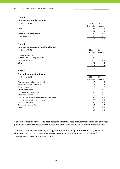#### **Interest and similar income**

| (millions of EUR)         | 2014 | 2013              |
|---------------------------|------|-------------------|
|                           |      | 3 months 3 months |
| Loans                     | 20.6 | 18.7              |
| Leasing                   | 3.2  | 3.4               |
| Deposits with other banks | 0.3  | 0.2               |
| Fixed income securities   | 0.5  | 0.0               |
|                           | 24.6 | 22.3              |

#### **Note 4**

| Interest expenses and similar charges |        |                   |
|---------------------------------------|--------|-------------------|
| (millions of EUR)                     | 2014   | 2013              |
|                                       |        | 3 months 3 months |
| Credit institutions                   | $-1.8$ | $-2.0$            |
| Time and other saving deposits        | $-0.9$ | $-1.8$            |
| Demand deposits                       | $-1.0$ | $-0.4$            |
| Other                                 | $-0.1$ | $-0.1$            |
|                                       | $-3.8$ | $-4.3$            |

#### **Note 5**

#### **Fee and commission income**

| (millions of EUR)                             | 2014 | 2013              |
|-----------------------------------------------|------|-------------------|
|                                               |      | 3 months 3 months |
| Payment cards related commissions             | 5.5  | 4.9               |
| Securities market services *                  | 2.6  | 3.1               |
| Transaction fees                              | 1.3  | 1.3               |
| Credit contracts **                           | 1.0  | 0.9               |
| Insurance brokerage fees                      | 0.6  | 0.5               |
| Other settlement fees                         | 1.0  | 0.9               |
| Income from leasing agreements (full service) | 0.3  | 0.3               |
| Income from electronic channels               | 0.4  | 0.3               |
| Cash handling fees                            | 0.2  | 0.2               |
| Commodity futures fees                        | 0.0  | 0.0               |
| Other                                         | 0.9  | 0.3               |
|                                               | 13.8 | 12.7              |

\* Securities market services includes asset management fees of investment funds and securties portfolios, custody services, advisory fees and other with securities transactions related fees.

\*\* Credit contracts include loan, leasing, letter of credit and guarantee contracts, which are short-term and do not constitute interest income, but are of administrative nature for arrangement or reorganisation of credits.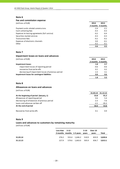## **Fee and commission expense**

| (millions of EUR)                             | 2014   | 2013              |
|-----------------------------------------------|--------|-------------------|
|                                               |        | 3 months 3 months |
| Payment cards related commissions             | $-2.4$ | $-2.1$            |
| Cash collecting fees                          | $-0.3$ | $-0.3$            |
| Expenses to leasing agreements (full service) | $-0.2$ | $-0.4$            |
| Securities market services                    | $-0.3$ | $-0.3$            |
| Transaction fees                              | $-0.2$ | $-0.2$            |
| Expenses of electronic channels               | 0.0    | $-0.1$            |
| Other                                         | $-0.2$ | $-0.1$            |
|                                               | -3.6   | $-3.5$            |

## **Note 7**

#### **Impairment losses on loans and advances**

|  | (millions of EUR) |  |
|--|-------------------|--|
|  |                   |  |

| (millions of EUR)                                  | 2014   | 2013              |
|----------------------------------------------------|--------|-------------------|
|                                                    |        | 3 months 3 months |
| <b>Impairment losses</b>                           | 1.8    | 2.7               |
| impairment losses of reporting period              | $-0.6$ | $-0.6$            |
| recoveries from write-offs                         | 0.1    | 0.2               |
| decreasing of impairment losses of previous period | 2.3    | 3.1               |
| Impairment losses for contingent liabilities       |        | 0.6               |
|                                                    | 1.8    | 3.3               |

## **Note 8**

## **Allowances on loans and advances**

(millions of EUR)

|                                             | 31.03.14 | 31.12.13 |
|---------------------------------------------|----------|----------|
| At the beginning of period (January, 1)     | 53.8     | 91.2     |
| Allowances of reporting period              | 0.6      | 5.4      |
| Decreasing of allowances of previous period | $-2.3$   | $-7.6$   |
| Loans and advances written off              | $-2.1$   | $-35.2$  |
| At the end of period                        | 50.0     | 53.8     |
|                                             |          |          |
| Recoveries from write-offs                  | 0.1      | 0.9      |

#### **Note 9**

# **Loans and advances to customers by remaining maturity**

|          | Less than $3-12$ |                                 | $5-10$ | Over 10                           |         |
|----------|------------------|---------------------------------|--------|-----------------------------------|---------|
|          |                  | 3 months months 1-5 years years |        | vears                             | Total   |
|          |                  |                                 |        |                                   |         |
| 31.03.14 | 276.2            |                                 |        | 553.4 1,646.2 510.9 833.9 3,820.6 |         |
| 31.12.13 | 227.9            | 579.6 1,663.0 505.9             |        | 836.7                             | 3.813.1 |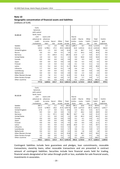## **Note 10 Geographic concentration of financial assets and liabilities** (millions of EUR)

| 31.03.14                 | Cash,<br>balances<br>with central<br>bank, loans<br>and | Loans and      |                |                |                | Due to         |                  |                |                  |                |
|--------------------------|---------------------------------------------------------|----------------|----------------|----------------|----------------|----------------|------------------|----------------|------------------|----------------|
|                          |                                                         |                |                |                |                |                |                  | Other          |                  | Contin-        |
|                          | advances to                                             | advances       |                |                |                | credit         | Due to           |                | Total            |                |
|                          | credit                                                  | to custo-      | Securi-        | Other          | Total          | institu-       | custo-           | liabili-       | liabili-         | gent           |
|                          | institutions                                            | mers           | ties           | assets         | assets         | tions          | mers             | ti es          | ties             | liabilities    |
| Sweden                   | 627.2                                                   | 1.1            | 2.0            | 0.8            | 631.1          | 1,085.7        | 8.7              | 19.6           | 1,114.0          | 1.4            |
| Estonia                  | 110.0                                                   | 3,798.1        | 27.2           | 29.5           | 3,964.8        | 16.9           | 2,353.6          | 63.3           | 2,433.8          | 964.8          |
| United Kingdom           | 20.5                                                    | 1.5            | 0.0            | 0.0            | 22.0           | 1.8            | 38.7             | 0.3            | 40.8             | 1.6            |
| Russia                   | 3.0                                                     | 0.3            | 0.0            | 0.1            | 3.4            | 0.7            | 34.3             | 0.0            | 35.0             | 0.0            |
| Germany                  | 0.7                                                     | 0.1            | 194.4          | 0.1            | 195.3          | 15.0           | 1.7              | 0.0            | 16.7             | $5.0$          |
| United States            | 2.0                                                     | 0.4            | 0.0            | 0.1            | 2.5            | 0.0            | 50.0             | 0.0            | 50.0             | 0.0            |
| Canada                   | 0.0                                                     | 0.0            | 0.0            | 0.0            | 0.0            | 0.0            | 4.3              | 0.0            | 4.3              | 0.0            |
| Japan                    | 0.0                                                     | 0.0            | 0.0            | 0.0            | 0.0            | 0.0            | 0.3              | 0.0            | 0.3              | 0.0            |
| Finland                  | 0.0                                                     | 1.4            | 0.0            | 0.2            | 1.6            | 0.1            | 5.0              | 0.1            | 5.2              | 3.8            |
| Latvia                   | 2.2                                                     | 9.4            | 0.0            | 0.1            | 11.7           | 34.4           | 5.6              | 0.0            | 40.0             | 0.5            |
| Lithuania                | 1.7                                                     | 0.0            | 0.0            | 0.1            | 1.8            | 0.6            | 6.5              | 0.1            | 7.2              | 0.0            |
| Luxembourg               | 3.9                                                     | 0.0            | 0.0            | 0.2            | 4.1            | 0.8            | 0.0              | 0.0            | 0.8              | 0.0            |
| Netherlands              | 0.0                                                     | 0.0            | 0.0            | 0.0            | 0.0            | 0.0            | 2.3              | 0.0            | 2.3              | 0.0            |
| Other Western Europe     | 4.9                                                     | 7.8            | 0.1            | 0.1            | 12.9           | 0.3            | 31.8             | 0.1            | 32.2             | 1.6            |
| Other Eastern Europe     | 0.7                                                     | 0.0            | 0.0            | 0.0            | 0.7            | 0.0            | 5.7              | 0.0            | 5.7              | 0.0            |
| Other countries          | 0.2                                                     | 0.5            | 0.0            | 10.9           | 11.6           | 0.1            | 170.9            | 109.4          | 280.4            | 0.8            |
|                          | 777.0                                                   | 3,820.6        | 223.7          | 42.2           | 4,863.5        | 1,156.4        | 2,719.4          | 192.9          | 4,068.7          | 979.5          |
|                          |                                                         |                |                |                |                |                |                  |                |                  |                |
|                          | Cash,                                                   |                |                |                |                |                |                  |                |                  |                |
|                          | balances                                                |                |                |                |                |                |                  |                |                  |                |
|                          | with central                                            |                |                |                |                |                |                  |                |                  |                |
|                          | bank, loans                                             |                |                |                |                |                |                  |                |                  |                |
| 31.12.13                 | and                                                     | Loans and      |                |                |                | Due to         |                  |                |                  |                |
|                          | advances to                                             | advances       |                |                |                | credit         | Due to           | Other          | Total            | Contin-        |
|                          | credit                                                  | to custo-      | Securi-        | Other          | Total          | institu-       | custo-           | liabili-       |                  | gent           |
|                          | institutions                                            |                |                |                |                |                |                  |                |                  |                |
| Sweden                   |                                                         |                |                |                |                |                |                  |                | liabili-         |                |
|                          |                                                         | mers           | ti es          | assets         | assets         | tions          | mers             | ti es          | ties             | liabilities    |
|                          | 287.1                                                   | 1.1            | 2.1            | 4.1            | 294.4          | 785.1          | 10.6             | 23.3           | 819.0            | $1.5\,$        |
| Estonia                  | 115.0<br>17.8                                           | 3,790.4<br>1.7 | 26.6<br>0.0    | 25.9<br>0.1    | 3,957.9        | 10.9           | 2,373.0          | 60.3<br>0.3    | 2,444.2          | 1,052.7        |
| United Kingdom           |                                                         | 0.4            |                |                | 19.6           | 2.3<br>0.7     | 30.1             |                | 32.7             | 1.6            |
| Russia                   | 8.9<br>1.5                                              | 0.1            | 0.0<br>97.1    | 0.0            | 9.3            | 18.7           | 28.2<br>2.6      | 0.0            | 28.9             | 0.0<br>6.4     |
| Germany<br>United States | $1.7\,$                                                 |                |                | 0.0            | 98.7           |                | 44.3             | 0.0            | 21.3             |                |
| Canada                   | $0.0\,$                                                 | 0.5<br>0.0     | $0.0\,$<br>0.0 | $0.0\,$<br>0.0 | 2.2<br>0.0     | $0.0\,$<br>0.1 | 4.1              | $0.0\,$<br>0.0 | 44.3<br>4.2      | $0.0\,$<br>0.0 |
| Japan                    | $0.0\,$                                                 | 0.0            | 0.0            | 0.0            | 0.0            | 0.0            | 0.3              | 0.0            | 0.3              | 0.0            |
| Finland                  | 0.0                                                     | 0.6            | 0.0            | 3.9            | 4.5            | 0.0            | 8.4              | 3.9            | 12.3             | 4.7            |
| Latvia                   | 4.3                                                     | 9.5            | 0.0            | 0.2            | 14.0           | 26.0           | 3.7              | 0.0            | 29.7             | 0.5            |
| Lithuania                | 5.2                                                     | 0.0            | 0.0            | 0.3            | 5.5            | 1.0            | 4.2              | 0.1            | 5.3              | 0.0            |
| Luxembourg               | 5.4                                                     | 0.0            | 0.0            | 0.3            | 5.7            | 0.6            | 0.1              | 0.0            | 0.7              | $0.0\,$        |
| Netherlands              | $0.0\,$                                                 | 0.3            | 0.0            | 0.0            | 0.3            | 0.0            | 1.8              | 0.0            | 1.8              | 0.0            |
| Other Western Europe     | 7.3                                                     | 8.0            | 0.1            | 8.4            | 23.8           | 1.1            | 48.7             | 8.5            | 58.3             | 1.6            |
| Other Eastern Europe     | $4.0$                                                   | 0.0            | 0.0            | 0.1            | 4.1            | 0.0            | 4.5              | 0.1            | 4.6              | 0.0            |
| Other countries          | 0.0<br>458.2                                            | 0.5<br>3,813.1 | 0.0<br>125.9   | 2.4<br>45.7    | 2.9<br>4,442.9 | 0.1<br>846.6   | 159.4<br>2,724.0 | 1.2<br>97.7    | 160.7<br>3,668.3 | 0.8<br>1,069.8 |

Contingent liabilities include here guarantees and pledges, loan commitments, revocable transactions, stand‐by loans, other revocable transactions and are presented in contract amount of contingent liabilities. Securities include here financial assets held for trading, financial assets designated at fair value through profit or loss, available‐for‐sale financial assets, investments in associates.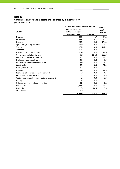# **Concentration of financial assets and liabilities by industry sector**

|                                              | In the statement of financial position | Contin-           |                    |
|----------------------------------------------|----------------------------------------|-------------------|--------------------|
|                                              | <b>Cash and loans to</b>               |                   | gent               |
| 31.03.14                                     | central bank, credit                   |                   | <b>liabilities</b> |
|                                              | institutions and                       | <b>Securities</b> |                    |
| Finance                                      | 802.4                                  | 4.7               | 24.1               |
| Real estate                                  | 673.7                                  | 0.1               | 52.1               |
| Industry                                     | 297.2                                  | 3.4               | 184.0              |
| Agriculture, fishing, forestry               | 185.0                                  | 0.0               | 21.5               |
| Trading                                      | 167.6                                  | 0.0               | 142.1              |
| Transport                                    | 164.3                                  | 0.0               | 37.6               |
| Energy, gas and steam plants                 | 101.4                                  | 0.0               | 77.6               |
| Government and state defence                 | 99.9                                   | 194.4             | 223.6              |
| Administration and assistance                | 96.2                                   | 0.0               | 31.7               |
| Health services, social work                 | 48.6                                   | 0.0               | 8.0                |
| Information and telecommunication            | 46.0                                   | 0.0               | 6.1                |
| Construction                                 | 43.2                                   | 0.0               | 67.3               |
| Hotels, restaurants                          | 29.8                                   | 0.0               | 0.7                |
| Education                                    | 17.6                                   | 0.0               | 14.3               |
| Professional, science and technical work     | 9.8                                    | 0.0               | 4.3                |
| Art, show business, leisure                  | 8.9                                    | 0.0               | 4.3                |
| Water supply, canalisation, waste management | 8.5                                    | 0.0               | 2.6                |
| Mining                                       | 2.2                                    | 0.0               | 0.1                |
| Other government and social services         | 21.6                                   | 0.6               | 6.2                |
| Individuals                                  | 1,823.7                                | 0.0               | 71.3               |
| Derivatives                                  | 0.0                                    | 20.5              | 0.0                |
| Allowances                                   | $-50.0$                                |                   |                    |
|                                              | 4,597.6                                | 223.7             | 979.5              |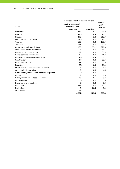| In the statement of financial position       |                                                       |                   |                                       |
|----------------------------------------------|-------------------------------------------------------|-------------------|---------------------------------------|
| 31.12.13                                     | central bank, credit<br>institutions and<br>customers | <b>Securities</b> | Contin-<br>gent<br><b>liabilities</b> |
| Real estate                                  | 712.2                                                 | 0.1               | 56.9                                  |
| Finance                                      | 475.6                                                 | 4.4               | 26.1                                  |
| Industry                                     | 290.6                                                 | 2.8               | 213.9                                 |
| Agriculture, fishing, forestry               | 175.6                                                 | 0.0               | 21.1                                  |
| Trading                                      | 158.1                                                 | 0.0               | 139.9                                 |
| Transport                                    | 148.4                                                 | 0.0               | 77.6                                  |
| Government and state defence                 | 105.1                                                 | 97.1              | 221.8                                 |
| Administration and assistance                | 94.4                                                  | 0.0               | 33.5                                  |
| Energy, gas and steam plants                 | 92.3                                                  | 0.0               | 98.9                                  |
| Health services, social work                 | 49.4                                                  | 0.0               | 14.2                                  |
| Information and telecommunication            | 48.0                                                  | 0.4               | 6.1                                   |
| Construction                                 | 47.8                                                  | 0.0               | 59.3                                  |
| Hotels, restaurants                          | 28.8                                                  | 0.0               | 0.9                                   |
| Education                                    | 20.3                                                  | 0.0               | 11.0                                  |
| Professional, science and technical work     | 9.7                                                   | 0.0               | 4.5                                   |
| Art, show business, leisure                  | 9.2                                                   | 0.0               | 4.6                                   |
| Water supply, canalisation, waste management | 9.0                                                   | 0.0               | 2.4                                   |
| Mining                                       | 2.3                                                   | 0.0               | 1.0                                   |
| Other government and social services         | 23.1                                                  | 0.6               | 5.7                                   |
| Home services                                | 0.0                                                   | 0.0               | 0.0                                   |
| Exterritorial organisations                  | 0.0                                                   | 0.0               | 0.0                                   |
| Individuals                                  | 1,825.2                                               | 0.0               | 70.4                                  |
| Derivatives                                  | 0.0                                                   | 20.5              | 0.0                                   |
| Allowances                                   | $-53.8$                                               |                   |                                       |
|                                              | 4,271.3                                               | 125.9             | 1,069.8                               |